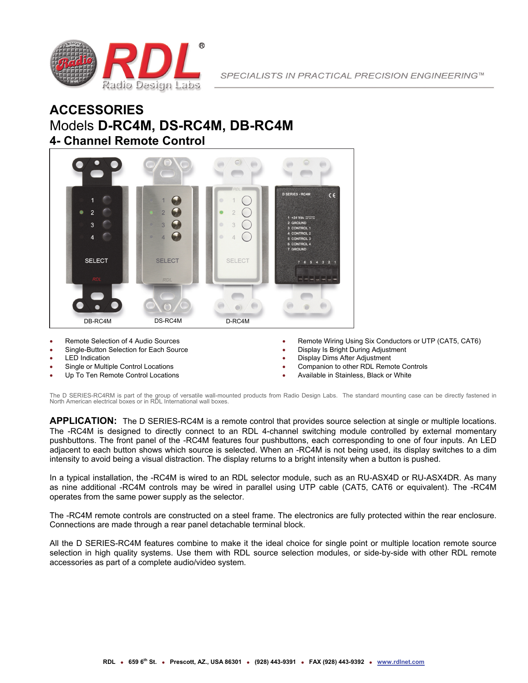

## **ACCESSORIES** Models **D-RC4M, DS-RC4M, DB-RC4M 4- Channel Remote Control**



- Remote Selection of 4 Audio Sources
- Single-Button Selection for Each Source
- LED Indication
- Single or Multiple Control Locations
- Up To Ten Remote Control Locations
- Remote Wiring Using Six Conductors or UTP (CAT5, CAT6)
- Display Is Bright During Adjustment
- Display Dims After Adjustment
- Companion to other RDL Remote Controls
- Available in Stainless, Black or White

The D SERIES-RC4RM is part of the group of versatile wall-mounted products from Radio Design Labs. The standard mounting case can be directly fastened in North American electrical boxes or in RDL International wall boxes.

**APPLICATION:** The D SERIES-RC4M is a remote control that provides source selection at single or multiple locations. The -RC4M is designed to directly connect to an RDL 4-channel switching module controlled by external momentary pushbuttons. The front panel of the -RC4M features four pushbuttons, each corresponding to one of four inputs. An LED adjacent to each button shows which source is selected. When an -RC4M is not being used, its display switches to a dim intensity to avoid being a visual distraction. The display returns to a bright intensity when a button is pushed.

In a typical installation, the -RC4M is wired to an RDL selector module, such as an RU-ASX4D or RU-ASX4DR. As many as nine additional -RC4M controls may be wired in parallel using UTP cable (CAT5, CAT6 or equivalent). The -RC4M operates from the same power supply as the selector.

The -RC4M remote controls are constructed on a steel frame. The electronics are fully protected within the rear enclosure. Connections are made through a rear panel detachable terminal block.

All the D SERIES-RC4M features combine to make it the ideal choice for single point or multiple location remote source selection in high quality systems. Use them with RDL source selection modules, or side-by-side with other RDL remote accessories as part of a complete audio/video system.